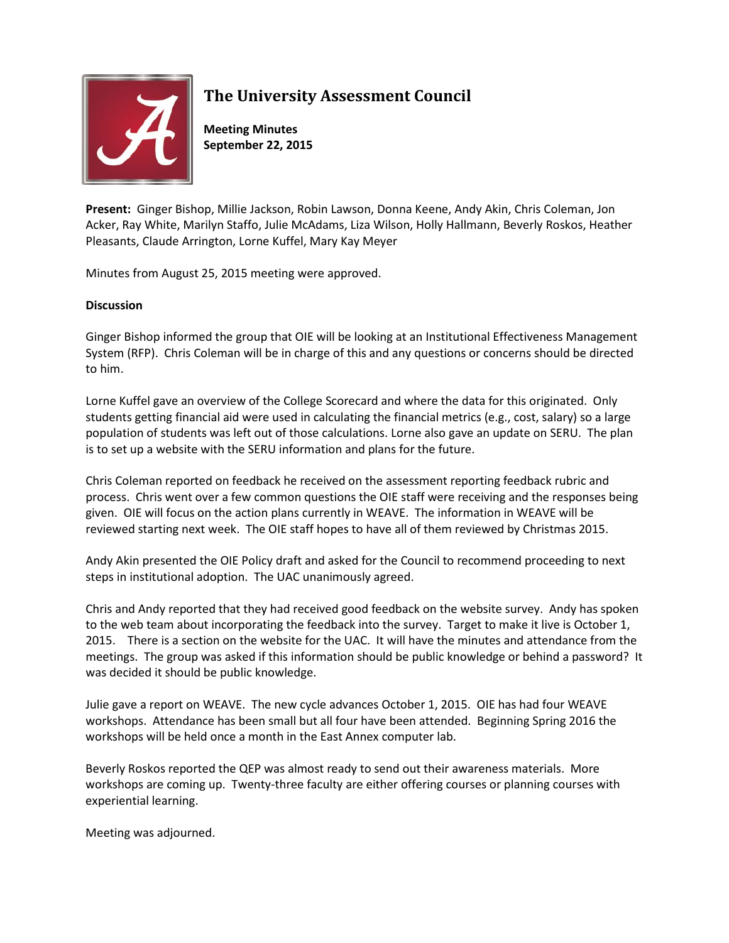

## **The University Assessment Council**

**Meeting Minutes September 22, 2015**

**Present:** Ginger Bishop, Millie Jackson, Robin Lawson, Donna Keene, Andy Akin, Chris Coleman, Jon Acker, Ray White, Marilyn Staffo, Julie McAdams, Liza Wilson, Holly Hallmann, Beverly Roskos, Heather Pleasants, Claude Arrington, Lorne Kuffel, Mary Kay Meyer

Minutes from August 25, 2015 meeting were approved.

## **Discussion**

Ginger Bishop informed the group that OIE will be looking at an Institutional Effectiveness Management System (RFP). Chris Coleman will be in charge of this and any questions or concerns should be directed to him.

Lorne Kuffel gave an overview of the College Scorecard and where the data for this originated. Only students getting financial aid were used in calculating the financial metrics (e.g., cost, salary) so a large population of students was left out of those calculations. Lorne also gave an update on SERU. The plan is to set up a website with the SERU information and plans for the future.

Chris Coleman reported on feedback he received on the assessment reporting feedback rubric and process. Chris went over a few common questions the OIE staff were receiving and the responses being given. OIE will focus on the action plans currently in WEAVE. The information in WEAVE will be reviewed starting next week. The OIE staff hopes to have all of them reviewed by Christmas 2015.

Andy Akin presented the OIE Policy draft and asked for the Council to recommend proceeding to next steps in institutional adoption. The UAC unanimously agreed.

Chris and Andy reported that they had received good feedback on the website survey. Andy has spoken to the web team about incorporating the feedback into the survey. Target to make it live is October 1, 2015. There is a section on the website for the UAC. It will have the minutes and attendance from the meetings. The group was asked if this information should be public knowledge or behind a password? It was decided it should be public knowledge.

Julie gave a report on WEAVE. The new cycle advances October 1, 2015. OIE has had four WEAVE workshops. Attendance has been small but all four have been attended. Beginning Spring 2016 the workshops will be held once a month in the East Annex computer lab.

Beverly Roskos reported the QEP was almost ready to send out their awareness materials. More workshops are coming up. Twenty-three faculty are either offering courses or planning courses with experiential learning.

Meeting was adjourned.